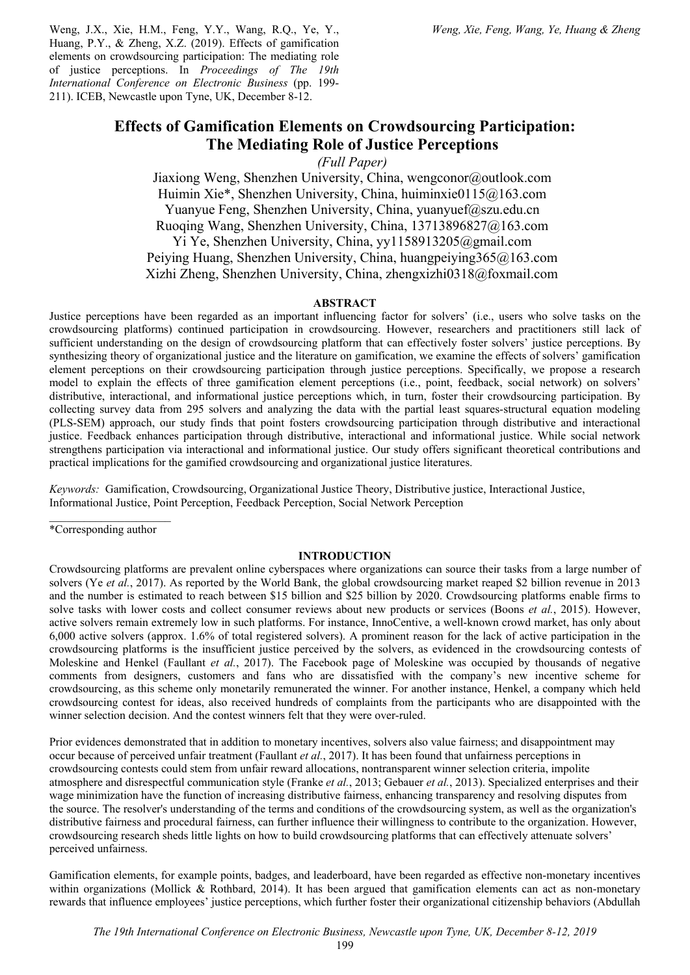Weng, J.X., Xie, H.M., Feng, Y.Y., Wang, R.Q., Ye, Y., Huang, P.Y., & Zheng, X.Z. (2019). Effects of gamification elements on crowdsourcing participation: The mediating role of justice perceptions. In *Proceedings of The 19th International Conference on Electronic Business* (pp. 199- 211). ICEB, Newcastle upon Tyne, UK, December 8-12.

# **Effects of Gamification Elements on Crowdsourcing Participation: The Mediating Role of Justice Perceptions**

*(Full Paper)*

Jiaxiong Weng, Shenzhen University, China, wengconor@outlook.com Huimin Xie\*, Shenzhen University, China, huiminxie0115@163.com Yuanyue Feng, Shenzhen University, China, yuanyuef@szu.edu.cn Ruoqing Wang, Shenzhen University, China, 13713896827@163.com Yi Ye, Shenzhen University, China, yy1158913205@gmail.com Peiying Huang, Shenzhen University, China, huangpeiying365@163.com Xizhi Zheng, Shenzhen University, China, zhengxizhi0318@foxmail.com

## **ABSTRACT**

Justice perceptions have been regarded as an important influencing factor for solvers' (i.e., users who solve tasks on the crowdsourcing platforms) continued participation in crowdsourcing. However, researchers and practitioners still lack of sufficient understanding on the design of crowdsourcing platform that can effectively foster solvers' justice perceptions. By synthesizing theory of organizational justice and the literature on gamification, we examine the effects of solvers' gamification element perceptions on their crowdsourcing participation through justice perceptions. Specifically, we propose a research model to explain the effects of three gamification element perceptions (i.e., point, feedback, social network) on solvers' distributive, interactional, and informational justice perceptions which, in turn, foster their crowdsourcing participation. By collecting survey data from 295 solvers and analyzing the data with the partial least squares-structural equation modeling (PLS-SEM) approach, our study finds that point fosters crowdsourcing participation through distributive and interactional justice. Feedback enhances participation through distributive, interactional and informational justice. While social network strengthens participation via interactional and informational justice. Our study offers significant theoretical contributions and practical implications for the gamified crowdsourcing and organizational justice literatures.

*Keywords:* Gamification, Crowdsourcing, Organizational Justice Theory, Distributive justice, Interactional Justice, Informational Justice, Point Perception, Feedback Perception, Social Network Perception

\*Corresponding author

# **INTRODUCTION**

Crowdsourcing platforms are prevalent online cyberspaces where organizations can source their tasks from a large number of solvers (Ye *et al.*, 2017). As reported by the World Bank, the global crowdsourcing market reaped \$2 billion revenue in 2013 and the number is estimated to reach between \$15 billion and \$25 billion by 2020. Crowdsourcing platforms enable firms to solve tasks with lower costs and collect consumer reviews about new products or services (Boons *et al.*, 2015). However, active solvers remain extremely low in such platforms. For instance, InnoCentive, a well-known crowd market, has only about 6,000 active solvers (approx. 1.6% of total registered solvers). A prominent reason for the lack of active participation in the crowdsourcing platforms is the insufficient justice perceived by the solvers, as evidenced in the crowdsourcing contests of Moleskine and Henkel (Faullant *et al.*, 2017). The Facebook page of Moleskine was occupied by thousands of negative comments from designers, customers and fans who are dissatisfied with the company's new incentive scheme for crowdsourcing, as this scheme only monetarily remunerated the winner. For another instance, Henkel, a company which held crowdsourcing contest for ideas, also received hundreds of complaints from the participants who are disappointed with the winner selection decision. And the contest winners felt that they were over-ruled.

Prior evidences demonstrated that in addition to monetary incentives, solvers also value fairness; and disappointment may occur because of perceived unfair treatment (Faullant *et al.*, 2017). It has been found that unfairness perceptions in crowdsourcing contests could stem from unfair reward allocations, nontransparent winner selection criteria, impolite atmosphere and disrespectful communication style (Franke *et al.*, 2013; Gebauer *et al.*, 2013). Specialized enterprises and their wage minimization have the function of increasing distributive fairness, enhancing transparency and resolving disputes from the source. The resolver's understanding of the terms and conditions of the crowdsourcing system, as well as the organization's distributive fairness and procedural fairness, can further influence their willingness to contribute to the organization. However, crowdsourcing research sheds little lights on how to build crowdsourcing platforms that can effectively attenuate solvers' perceived unfairness.

Gamification elements, for example points, badges, and leaderboard, have been regarded as effective non-monetary incentives within organizations (Mollick & Rothbard, 2014). It has been argued that gamification elements can act as non-monetary rewards that influence employees' justice perceptions, which further foster their organizational citizenship behaviors (Abdullah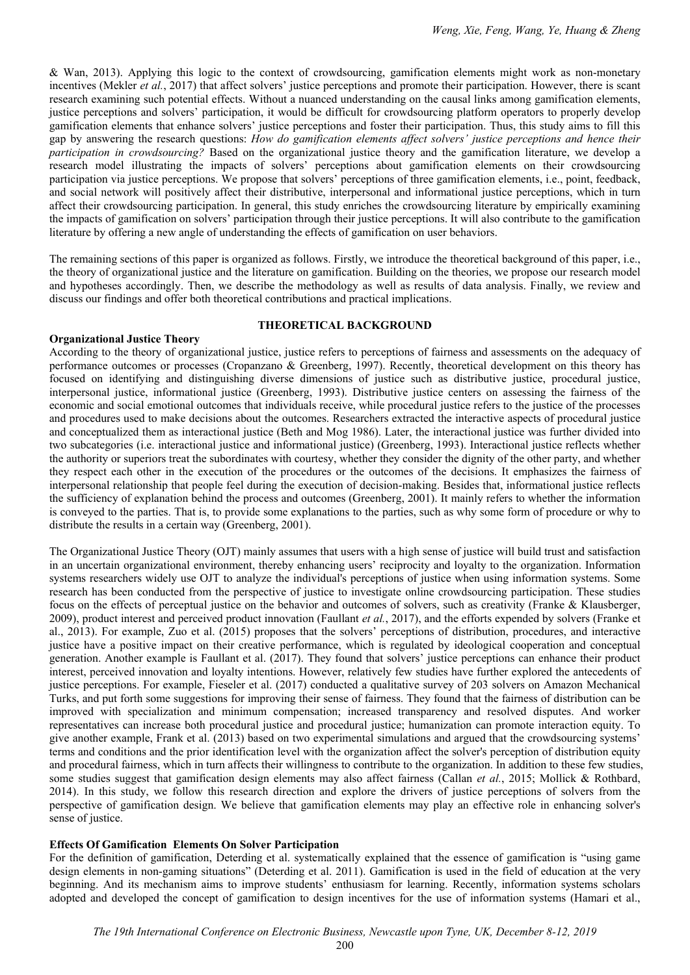& Wan, 2013). Applying this logic to the context of crowdsourcing, gamification elements might work as non-monetary incentives (Mekler *et al.*, 2017) that affect solvers' justice perceptions and promote their participation. However, there is scant research examining such potential effects. Without a nuanced understanding on the causal links among gamification elements, justice perceptions and solvers' participation, it would be difficult for crowdsourcing platform operators to properly develop gamification elements that enhance solvers' justice perceptions and foster their participation. Thus, this study aims to fill this gap by answering the research questions: *How do gamification elements affect solvers' justice perceptions and hence their participation in crowdsourcing?* Based on the organizational justice theory and the gamification literature, we develop a research model illustrating the impacts of solvers' perceptions about gamification elements on their crowdsourcing participation via justice perceptions. We propose that solvers' perceptions of three gamification elements, i.e., point, feedback, and social network will positively affect their distributive, interpersonal and informational justice perceptions, which in turn affect their crowdsourcing participation. In general, this study enriches the crowdsourcing literature by empirically examining the impacts of gamification on solvers' participation through their justice perceptions. It will also contribute to the gamification literature by offering a new angle of understanding the effects of gamification on user behaviors.

The remaining sections of this paper is organized as follows. Firstly, we introduce the theoretical background of this paper, i.e., the theory of organizational justice and the literature on gamification. Building on the theories, we propose our research model and hypotheses accordingly. Then, we describe the methodology as well as results of data analysis. Finally, we review and discuss our findings and offer both theoretical contributions and practical implications.

## **THEORETICAL BACKGROUND**

# **Organizational Justice Theory**

According to the theory of organizational justice, justice refers to perceptions of fairness and assessments on the adequacy of performance outcomes or processes (Cropanzano & Greenberg, 1997). Recently, theoretical development on this theory has focused on identifying and distinguishing diverse dimensions of justice such as distributive justice, procedural justice, interpersonal justice, informational justice (Greenberg, 1993). Distributive justice centers on assessing the fairness of the economic and social emotional outcomes that individuals receive, while procedural justice refers to the justice of the processes and procedures used to make decisions about the outcomes. Researchers extracted the interactive aspects of procedural justice and conceptualized them as interactional justice (Beth and Mog 1986). Later, the interactional justice was further divided into two subcategories (i.e. interactional justice and informational justice) (Greenberg, 1993). Interactional justice reflects whether the authority or superiors treat the subordinates with courtesy, whether they consider the dignity of the other party, and whether they respect each other in the execution of the procedures or the outcomes of the decisions. It emphasizes the fairness of interpersonal relationship that people feel during the execution of decision-making. Besides that, informational justice reflects the sufficiency of explanation behind the process and outcomes (Greenberg, 2001). It mainly refers to whether the information is conveyed to the parties. That is, to provide some explanations to the parties, such as why some form of procedure or why to distribute the results in a certain way (Greenberg, 2001).

The Organizational Justice Theory (OJT) mainly assumes that users with a high sense of justice will build trust and satisfaction in an uncertain organizational environment, thereby enhancing users' reciprocity and loyalty to the organization. Information systems researchers widely use OJT to analyze the individual's perceptions of justice when using information systems. Some research has been conducted from the perspective of justice to investigate online crowdsourcing participation. These studies focus on the effects of perceptual justice on the behavior and outcomes of solvers, such as creativity (Franke & Klausberger, 2009), product interest and perceived product innovation (Faullant *et al.*, 2017), and the efforts expended by solvers (Franke et al., 2013). For example, Zuo et al. (2015) proposes that the solvers' perceptions of distribution, procedures, and interactive justice have a positive impact on their creative performance, which is regulated by ideological cooperation and conceptual generation. Another example is Faullant et al. (2017). They found that solvers' justice perceptions can enhance their product interest, perceived innovation and loyalty intentions. However, relatively few studies have further explored the antecedents of justice perceptions. For example, Fieseler et al. (2017) conducted a qualitative survey of 203 solvers on Amazon Mechanical Turks, and put forth some suggestions for improving their sense of fairness. They found that the fairness of distribution can be improved with specialization and minimum compensation; increased transparency and resolved disputes. And worker representatives can increase both procedural justice and procedural justice; humanization can promote interaction equity. To give another example, Frank et al. (2013) based on two experimental simulations and argued that the crowdsourcing systems' terms and conditions and the prior identification level with the organization affect the solver's perception of distribution equity and procedural fairness, which in turn affects their willingness to contribute to the organization. In addition to these few studies, some studies suggest that gamification design elements may also affect fairness (Callan *et al.*, 2015; Mollick & Rothbard, 2014). In this study, we follow this research direction and explore the drivers of justice perceptions of solvers from the perspective of gamification design. We believe that gamification elements may play an effective role in enhancing solver's sense of justice.

# **Effects Of Gamification Elements On Solver Participation**

For the definition of gamification, Deterding et al. systematically explained that the essence of gamification is "using game design elements in non-gaming situations" (Deterding et al. 2011). Gamification is used in the field of education at the very beginning. And its mechanism aims to improve students' enthusiasm for learning. Recently, information systems scholars adopted and developed the concept of gamification to design incentives for the use of information systems (Hamari et al.,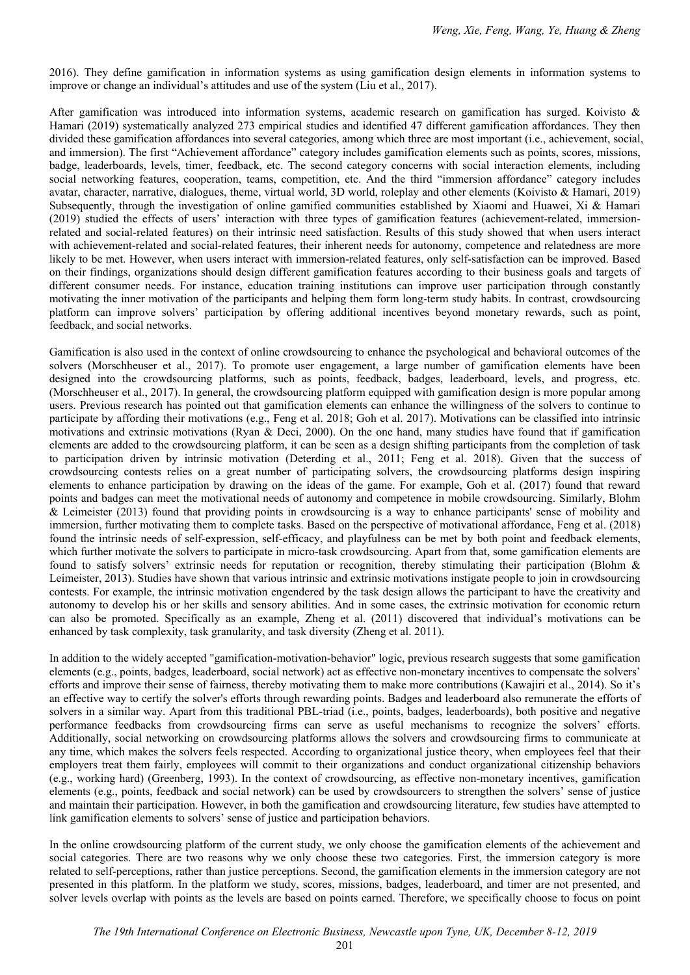2016). They define gamification in information systems as using gamification design elements in information systems to improve or change an individual's attitudes and use of the system (Liu et al., 2017).

After gamification was introduced into information systems, academic research on gamification has surged. Koivisto & Hamari (2019) systematically analyzed 273 empirical studies and identified 47 different gamification affordances. They then divided these gamification affordances into several categories, among which three are most important (i.e., achievement, social, and immersion). The first "Achievement affordance" category includes gamification elements such as points, scores, missions, badge, leaderboards, levels, timer, feedback, etc. The second category concerns with social interaction elements, including social networking features, cooperation, teams, competition, etc. And the third "immersion affordance" category includes avatar, character, narrative, dialogues, theme, virtual world, 3D world, roleplay and other elements (Koivisto & Hamari, 2019) Subsequently, through the investigation of online gamified communities established by Xiaomi and Huawei, Xi & Hamari (2019) studied the effects of users' interaction with three types of gamification features (achievement-related, immersionrelated and social-related features) on their intrinsic need satisfaction. Results of this study showed that when users interact with achievement-related and social-related features, their inherent needs for autonomy, competence and relatedness are more likely to be met. However, when users interact with immersion-related features, only self-satisfaction can be improved. Based on their findings, organizations should design different gamification features according to their business goals and targets of different consumer needs. For instance, education training institutions can improve user participation through constantly motivating the inner motivation of the participants and helping them form long-term study habits. In contrast, crowdsourcing platform can improve solvers' participation by offering additional incentives beyond monetary rewards, such as point, feedback, and social networks.

Gamification is also used in the context of online crowdsourcing to enhance the psychological and behavioral outcomes of the solvers (Morschheuser et al., 2017). To promote user engagement, a large number of gamification elements have been designed into the crowdsourcing platforms, such as points, feedback, badges, leaderboard, levels, and progress, etc. (Morschheuser et al., 2017). In general, the crowdsourcing platform equipped with gamification design is more popular among users. Previous research has pointed out that gamification elements can enhance the willingness of the solvers to continue to participate by affording their motivations (e.g., Feng et al. 2018; Goh et al. 2017). Motivations can be classified into intrinsic motivations and extrinsic motivations (Ryan & Deci, 2000). On the one hand, many studies have found that if gamification elements are added to the crowdsourcing platform, it can be seen as a design shifting participants from the completion of task to participation driven by intrinsic motivation (Deterding et al., 2011; Feng et al. 2018). Given that the success of crowdsourcing contests relies on a great number of participating solvers, the crowdsourcing platforms design inspiring elements to enhance participation by drawing on the ideas of the game. For example, Goh et al. (2017) found that reward points and badges can meet the motivational needs of autonomy and competence in mobile crowdsourcing. Similarly, Blohm & Leimeister (2013) found that providing points in crowdsourcing is a way to enhance participants' sense of mobility and immersion, further motivating them to complete tasks. Based on the perspective of motivational affordance, Feng et al. (2018) found the intrinsic needs of self-expression, self-efficacy, and playfulness can be met by both point and feedback elements, which further motivate the solvers to participate in micro-task crowdsourcing. Apart from that, some gamification elements are found to satisfy solvers' extrinsic needs for reputation or recognition, thereby stimulating their participation (Blohm & Leimeister, 2013). Studies have shown that various intrinsic and extrinsic motivations instigate people to join in crowdsourcing contests. For example, the intrinsic motivation engendered by the task design allows the participant to have the creativity and autonomy to develop his or her skills and sensory abilities. And in some cases, the extrinsic motivation for economic return can also be promoted. Specifically as an example, Zheng et al. (2011) discovered that individual's motivations can be enhanced by task complexity, task granularity, and task diversity (Zheng et al. 2011).

In addition to the widely accepted "gamification-motivation-behavior" logic, previous research suggests that some gamification elements (e.g., points, badges, leaderboard, social network) act as effective non-monetary incentives to compensate the solvers' efforts and improve their sense of fairness, thereby motivating them to make more contributions (Kawajiri et al., 2014). So it's an effective way to certify the solver's efforts through rewarding points. Badges and leaderboard also remunerate the efforts of solvers in a similar way. Apart from this traditional PBL-triad (i.e., points, badges, leaderboards), both positive and negative performance feedbacks from crowdsourcing firms can serve as useful mechanisms to recognize the solvers' efforts. Additionally, social networking on crowdsourcing platforms allows the solvers and crowdsourcing firms to communicate at any time, which makes the solvers feels respected. According to organizational justice theory, when employees feel that their employers treat them fairly, employees will commit to their organizations and conduct organizational citizenship behaviors (e.g., working hard) (Greenberg, 1993). In the context of crowdsourcing, as effective non-monetary incentives, gamification elements (e.g., points, feedback and social network) can be used by crowdsourcers to strengthen the solvers' sense of justice and maintain their participation. However, in both the gamification and crowdsourcing literature, few studies have attempted to link gamification elements to solvers' sense of justice and participation behaviors.

In the online crowdsourcing platform of the current study, we only choose the gamification elements of the achievement and social categories. There are two reasons why we only choose these two categories. First, the immersion category is more related to self-perceptions, rather than justice perceptions. Second, the gamification elements in the immersion category are not presented in this platform. In the platform we study, scores, missions, badges, leaderboard, and timer are not presented, and solver levels overlap with points as the levels are based on points earned. Therefore, we specifically choose to focus on point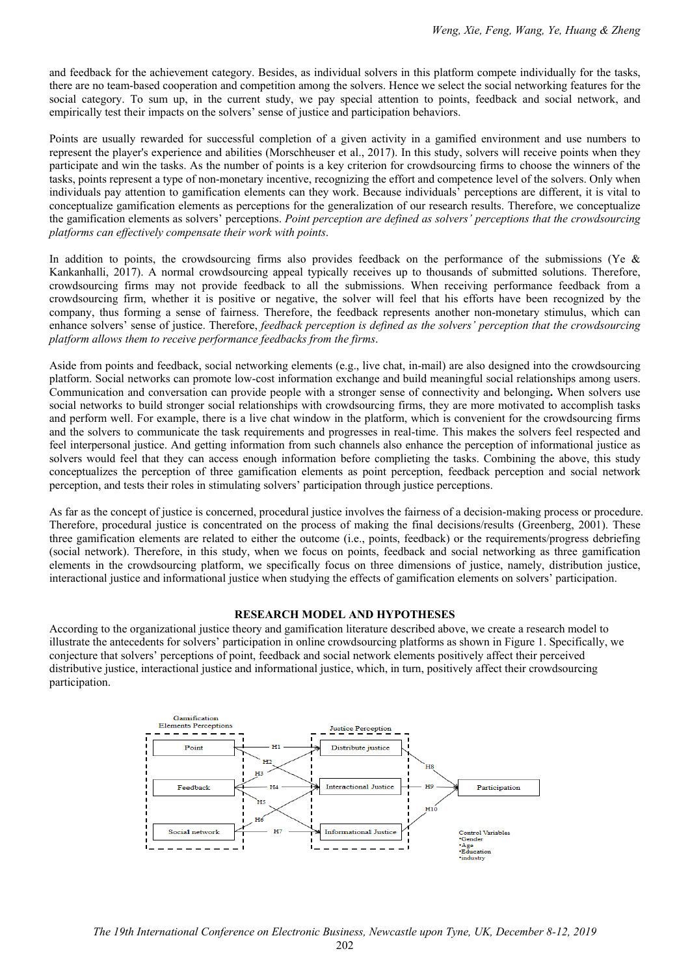and feedback for the achievement category. Besides, as individual solvers in this platform compete individually for the tasks, there are no team-based cooperation and competition among the solvers. Hence we select the social networking features for the social category. To sum up, in the current study, we pay special attention to points, feedback and social network, and empirically test their impacts on the solvers' sense of justice and participation behaviors.

Points are usually rewarded for successful completion of a given activity in a gamified environment and use numbers to represent the player's experience and abilities (Morschheuser et al., 2017). In this study, solvers will receive points when they participate and win the tasks. As the number of points is a key criterion for crowdsourcing firms to choose the winners of the tasks, points represent a type of non-monetary incentive, recognizing the effort and competence level of the solvers. Only when individuals pay attention to gamification elements can they work. Because individuals' perceptions are different, it is vital to conceptualize gamification elements as perceptions for the generalization of our research results. Therefore, we conceptualize the gamification elements as solvers' perceptions. *Point perception are defined as solvers' perceptions that the crowdsourcing platforms can effectively compensate their work with points*.

In addition to points, the crowdsourcing firms also provides feedback on the performance of the submissions (Ye & Kankanhalli, 2017). A normal crowdsourcing appeal typically receives up to thousands of submitted solutions. Therefore, crowdsourcing firms may not provide feedback to all the submissions. When receiving performance feedback from a crowdsourcing firm, whether it is positive or negative, the solver will feel that his efforts have been recognized by the company, thus forming a sense of fairness. Therefore, the feedback represents another non-monetary stimulus, which can enhance solvers' sense of justice. Therefore, *feedback perception is defined as the solvers' perception that the crowdsourcing platform allows them to receive performance feedbacks from the firms*.

Aside from points and feedback, social networking elements (e.g., live chat, in-mail) are also designed into the crowdsourcing platform. Social networks can promote low-cost information exchange and build meaningful social relationships among users. Communication and conversation can provide people with a stronger sense of connectivity and belonging**.** When solvers use social networks to build stronger social relationships with crowdsourcing firms, they are more motivated to accomplish tasks and perform well. For example, there is a live chat window in the platform, which is convenient for the crowdsourcing firms and the solvers to communicate the task requirements and progresses in real-time. This makes the solvers feel respected and feel interpersonal justice. And getting information from such channels also enhance the perception of informational justice as solvers would feel that they can access enough information before complieting the tasks. Combining the above, this study conceptualizes the perception of three gamification elements as point perception, feedback perception and social network perception, and tests their roles in stimulating solvers' participation through justice perceptions.

As far as the concept of justice is concerned, procedural justice involves the fairness of a decision-making process or procedure. Therefore, procedural justice is concentrated on the process of making the final decisions/results (Greenberg, 2001). These three gamification elements are related to either the outcome (i.e., points, feedback) or the requirements/progress debriefing (social network). Therefore, in this study, when we focus on points, feedback and social networking as three gamification elements in the crowdsourcing platform, we specifically focus on three dimensions of justice, namely, distribution justice, interactional justice and informational justice when studying the effects of gamification elements on solvers' participation.

#### **RESEARCH MODEL AND HYPOTHESES**

According to the organizational justice theory and gamification literature described above, we create a research model to illustrate the antecedents for solvers' participation in online crowdsourcing platforms as shown in Figure 1. Specifically, we conjecture that solvers' perceptions of point, feedback and social network elements positively affect their perceived distributive justice, interactional justice and informational justice, which, in turn, positively affect their crowdsourcing participation.

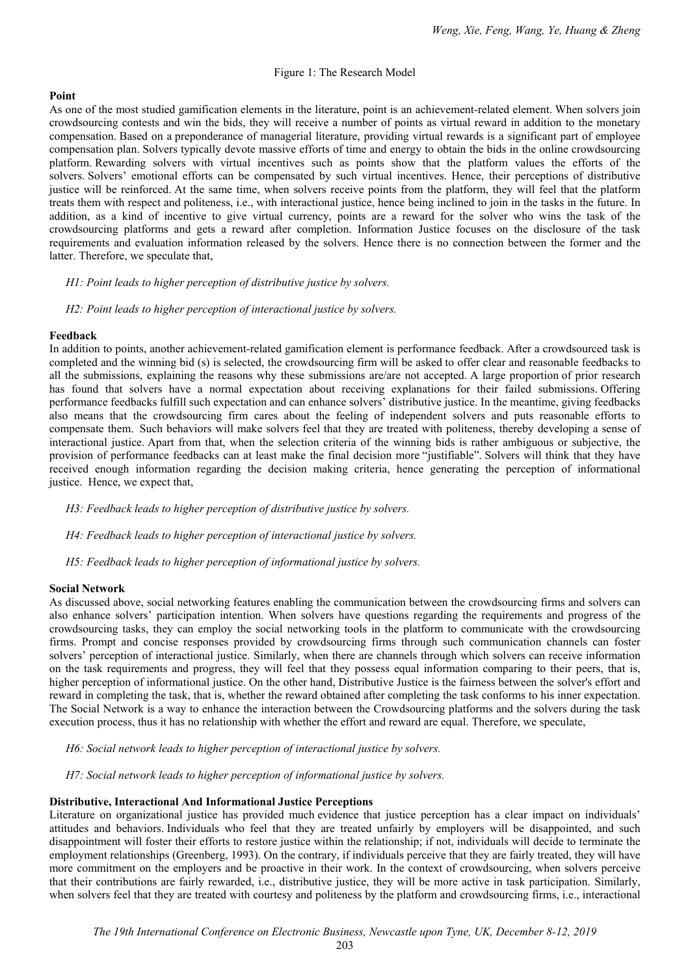# Figure 1: The Research Model

# **Point**

As one of the most studied gamification elements in the literature, point is an achievement-related element. When solvers join crowdsourcing contests and win the bids, they will receive a number of points as virtual reward in addition to the monetary compensation. Based on a preponderance of managerial literature, providing virtual rewards is a significant part of employee compensation plan. Solvers typically devote massive efforts of time and energy to obtain the bids in the online crowdsourcing platform. Rewarding solvers with virtual incentives such as points show that the platform values the efforts of the solvers. Solvers' emotional efforts can be compensated by such virtual incentives. Hence, their perceptions of distributive justice will be reinforced. At the same time, when solvers receive points from the platform, they will feel that the platform treats them with respect and politeness, i.e., with interactional justice, hence being inclined to join in the tasks in the future. In addition, as a kind of incentive to give virtual currency, points are a reward for the solver who wins the task of the crowdsourcing platforms and gets a reward after completion. Information Justice focuses on the disclosure of the task requirements and evaluation information released by the solvers. Hence there is no connection between the former and the latter. Therefore, we speculate that,

# *H1: Point leads to higher perception of distributive justice by solvers.*

*H2: Point leads to higher perception of interactional justice by solvers.* 

# **Feedback**

In addition to points, another achievement-related gamification element is performance feedback. After a crowdsourced task is completed and the winning bid (s) is selected, the crowdsourcing firm will be asked to offer clear and reasonable feedbacks to all the submissions, explaining the reasons why these submissions are/are not accepted. A large proportion of prior research has found that solvers have a normal expectation about receiving explanations for their failed submissions. Offering performance feedbacks fulfill such expectation and can enhance solvers' distributive justice. In the meantime, giving feedbacks also means that the crowdsourcing firm cares about the feeling of independent solvers and puts reasonable efforts to compensate them. Such behaviors will make solvers feel that they are treated with politeness, thereby developing a sense of interactional justice. Apart from that, when the selection criteria of the winning bids is rather ambiguous or subjective, the provision of performance feedbacks can at least make the final decision more "justifiable". Solvers will think that they have received enough information regarding the decision making criteria, hence generating the perception of informational justice. Hence, we expect that,

*H3: Feedback leads to higher perception of distributive justice by solvers.* 

*H4: Feedback leads to higher perception of interactional justice by solvers.* 

*H5: Feedback leads to higher perception of informational justice by solvers.* 

# **Social Network**

As discussed above, social networking features enabling the communication between the crowdsourcing firms and solvers can also enhance solvers' participation intention. When solvers have questions regarding the requirements and progress of the crowdsourcing tasks, they can employ the social networking tools in the platform to communicate with the crowdsourcing firms. Prompt and concise responses provided by crowdsourcing firms through such communication channels can foster solvers' perception of interactional justice. Similarly, when there are channels through which solvers can receive information on the task requirements and progress, they will feel that they possess equal information comparing to their peers, that is, higher perception of informational justice. On the other hand, Distributive Justice is the fairness between the solver's effort and reward in completing the task, that is, whether the reward obtained after completing the task conforms to his inner expectation. The Social Network is a way to enhance the interaction between the Crowdsourcing platforms and the solvers during the task execution process, thus it has no relationship with whether the effort and reward are equal. Therefore, we speculate,

*H6: Social network leads to higher perception of interactional justice by solvers.* 

*H7: Social network leads to higher perception of informational justice by solvers.* 

# **Distributive, Interactional And Informational Justice Perceptions**

Literature on organizational justice has provided much evidence that justice perception has a clear impact on individuals' attitudes and behaviors. Individuals who feel that they are treated unfairly by employers will be disappointed, and such disappointment will foster their efforts to restore justice within the relationship; if not, individuals will decide to terminate the employment relationships (Greenberg, 1993). On the contrary, if individuals perceive that they are fairly treated, they will have more commitment on the employers and be proactive in their work. In the context of crowdsourcing, when solvers perceive that their contributions are fairly rewarded, i.e., distributive justice, they will be more active in task participation. Similarly, when solvers feel that they are treated with courtesy and politeness by the platform and crowdsourcing firms, i.e., interactional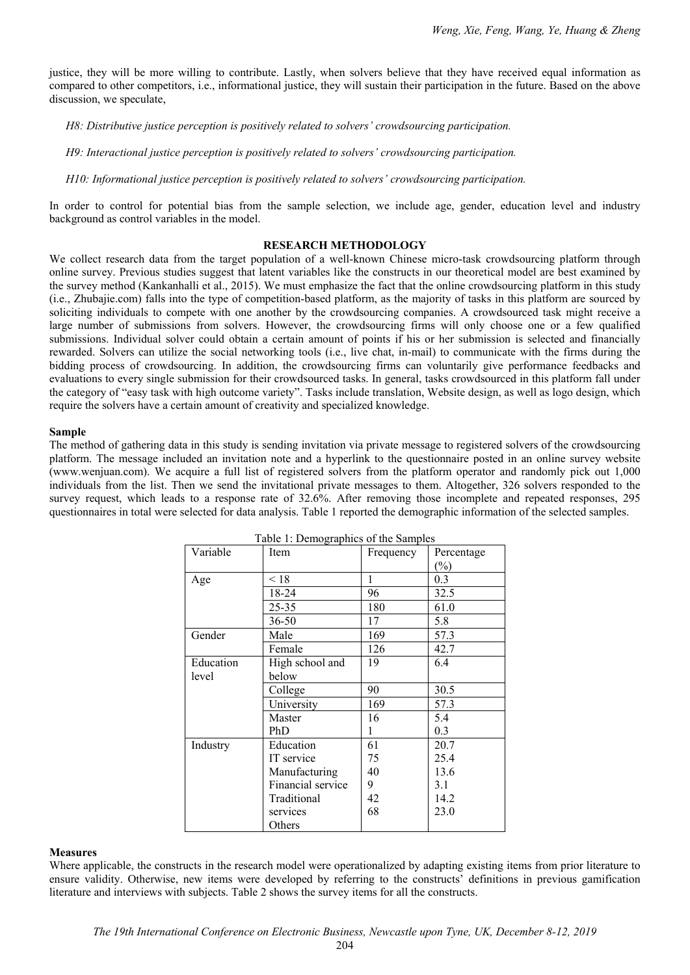justice, they will be more willing to contribute. Lastly, when solvers believe that they have received equal information as compared to other competitors, i.e., informational justice, they will sustain their participation in the future. Based on the above discussion, we speculate,

*H8: Distributive justice perception is positively related to solvers' crowdsourcing participation.* 

*H9: Interactional justice perception is positively related to solvers' crowdsourcing participation.* 

*H10: Informational justice perception is positively related to solvers' crowdsourcing participation.* 

In order to control for potential bias from the sample selection, we include age, gender, education level and industry background as control variables in the model.

# **RESEARCH METHODOLOGY**

We collect research data from the target population of a well-known Chinese micro-task crowdsourcing platform through online survey. Previous studies suggest that latent variables like the constructs in our theoretical model are best examined by the survey method (Kankanhalli et al., 2015). We must emphasize the fact that the online crowdsourcing platform in this study (i.e., Zhubajie.com) falls into the type of competition-based platform, as the majority of tasks in this platform are sourced by soliciting individuals to compete with one another by the crowdsourcing companies. A crowdsourced task might receive a large number of submissions from solvers. However, the crowdsourcing firms will only choose one or a few qualified submissions. Individual solver could obtain a certain amount of points if his or her submission is selected and financially rewarded. Solvers can utilize the social networking tools (i.e., live chat, in-mail) to communicate with the firms during the bidding process of crowdsourcing. In addition, the crowdsourcing firms can voluntarily give performance feedbacks and evaluations to every single submission for their crowdsourced tasks. In general, tasks crowdsourced in this platform fall under the category of "easy task with high outcome variety". Tasks include translation, Website design, as well as logo design, which require the solvers have a certain amount of creativity and specialized knowledge.

## **Sample**

The method of gathering data in this study is sending invitation via private message to registered solvers of the crowdsourcing platform. The message included an invitation note and a hyperlink to the questionnaire posted in an online survey website (www.wenjuan.com). We acquire a full list of registered solvers from the platform operator and randomly pick out 1,000 individuals from the list. Then we send the invitational private messages to them. Altogether, 326 solvers responded to the survey request, which leads to a response rate of 32.6%. After removing those incomplete and repeated responses, 295 questionnaires in total were selected for data analysis. Table 1 reported the demographic information of the selected samples.

| Variable  | -- <i>o</i> --r---<br>Item | Frequency | Percentage                 |  |  |
|-----------|----------------------------|-----------|----------------------------|--|--|
|           |                            |           | $\left(\frac{0}{0}\right)$ |  |  |
| Age       | < 18                       | 1         | 0.3                        |  |  |
|           | 18-24                      | 96        | 32.5                       |  |  |
|           | 25-35                      | 180       | 61.0                       |  |  |
|           | $36 - 50$                  | 17        | 5.8                        |  |  |
| Gender    | Male                       | 169       | 57.3                       |  |  |
|           | Female                     | 126       | 42.7                       |  |  |
| Education | High school and            | 19        | 6.4                        |  |  |
| level     | below                      |           |                            |  |  |
|           | College                    | 90        | 30.5                       |  |  |
|           | University                 | 169       | 57.3                       |  |  |
|           | Master                     | 16        | 5.4                        |  |  |
|           | PhD                        | 1         | 0.3                        |  |  |
| Industry  | Education                  | 61        | 20.7                       |  |  |
|           | IT service                 | 75        | 25.4                       |  |  |
|           | Manufacturing              | 40        | 13.6                       |  |  |
|           | Financial service          |           | 3.1                        |  |  |
|           | Traditional                | 42        | 14.2                       |  |  |
|           | services                   |           | 23.0                       |  |  |
|           | Others                     |           |                            |  |  |

Table 1: Demographics of the Samples

#### **Measures**

Where applicable, the constructs in the research model were operationalized by adapting existing items from prior literature to ensure validity. Otherwise, new items were developed by referring to the constructs' definitions in previous gamification literature and interviews with subjects. Table 2 shows the survey items for all the constructs.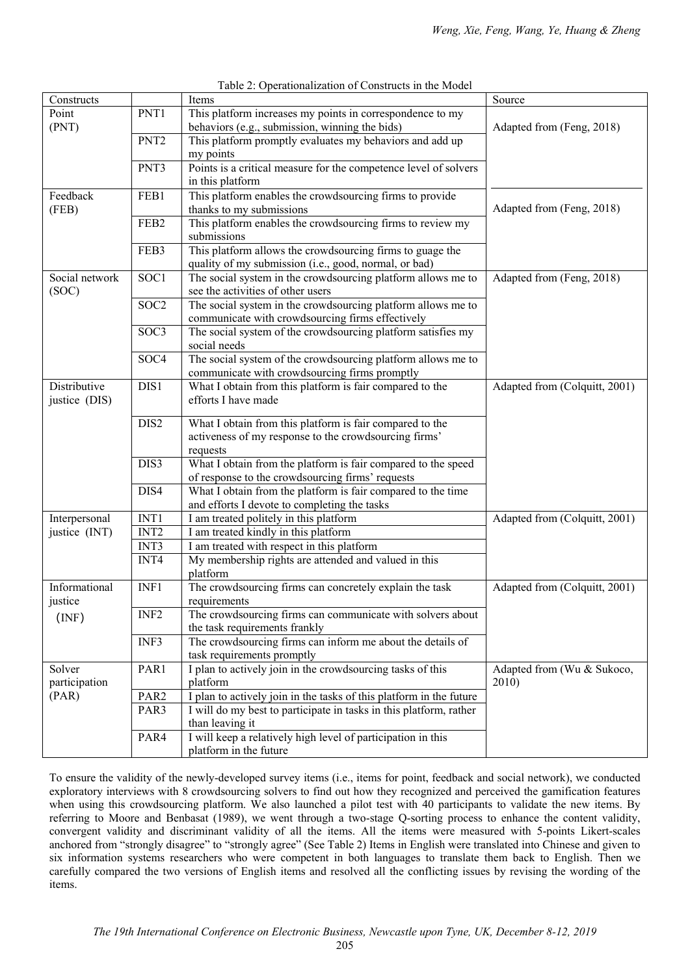| Constructs     |                  | Items                                                               | Source                        |
|----------------|------------------|---------------------------------------------------------------------|-------------------------------|
| Point          | PNT1             | This platform increases my points in correspondence to my           |                               |
| (PNT)          |                  | behaviors (e.g., submission, winning the bids)                      | Adapted from (Feng, 2018)     |
|                | PNT <sub>2</sub> | This platform promptly evaluates my behaviors and add up            |                               |
|                |                  | my points                                                           |                               |
|                | PNT3             | Points is a critical measure for the competence level of solvers    |                               |
|                |                  | in this platform                                                    |                               |
| Feedback       | FEB1             | This platform enables the crowdsourcing firms to provide            |                               |
| (FEB)          |                  | thanks to my submissions                                            | Adapted from (Feng, 2018)     |
|                | FEB <sub>2</sub> | This platform enables the crowdsourcing firms to review my          |                               |
|                |                  | submissions                                                         |                               |
|                | FEB3             | This platform allows the crowdsourcing firms to guage the           |                               |
|                |                  | quality of my submission (i.e., good, normal, or bad)               |                               |
| Social network | SOC1             | The social system in the crowdsourcing platform allows me to        | Adapted from (Feng, 2018)     |
| (SOC)          |                  | see the activities of other users                                   |                               |
|                | SOC <sub>2</sub> | The social system in the crowdsourcing platform allows me to        |                               |
|                |                  | communicate with crowdsourcing firms effectively                    |                               |
|                | SOC3             | The social system of the crowdsourcing platform satisfies my        |                               |
|                |                  | social needs                                                        |                               |
|                | SOC <sub>4</sub> | The social system of the crowdsourcing platform allows me to        |                               |
|                |                  | communicate with crowdsourcing firms promptly                       |                               |
| Distributive   | DIS1             | What I obtain from this platform is fair compared to the            | Adapted from (Colquitt, 2001) |
| justice (DIS)  |                  | efforts I have made                                                 |                               |
|                | DIS2             | What I obtain from this platform is fair compared to the            |                               |
|                |                  | activeness of my response to the crowdsourcing firms'               |                               |
|                |                  | requests                                                            |                               |
|                | DIS3             | What I obtain from the platform is fair compared to the speed       |                               |
|                |                  | of response to the crowdsourcing firms' requests                    |                               |
|                | DIS4             | What I obtain from the platform is fair compared to the time        |                               |
|                |                  | and efforts I devote to completing the tasks                        |                               |
| Interpersonal  | INT1             | I am treated politely in this platform                              | Adapted from (Colquitt, 2001) |
| justice (INT)  | INT <sub>2</sub> | I am treated kindly in this platform                                |                               |
|                | INT3             | I am treated with respect in this platform                          |                               |
|                | INT4             | My membership rights are attended and valued in this                |                               |
|                |                  | platform                                                            |                               |
| Informational  | INF1             | The crowdsourcing firms can concretely explain the task             | Adapted from (Colquitt, 2001) |
| justice        |                  | requirements                                                        |                               |
| (INF)          | INF <sub>2</sub> | The crowdsourcing firms can communicate with solvers about          |                               |
|                |                  | the task requirements frankly                                       |                               |
|                | INF3             | The crowdsourcing firms can inform me about the details of          |                               |
|                |                  | task requirements promptly                                          |                               |
| Solver         | PAR1             | I plan to actively join in the crowdsourcing tasks of this          | Adapted from (Wu & Sukoco,    |
| participation  |                  | platform                                                            | 2010)                         |
| (PAR)          | PAR <sub>2</sub> | I plan to actively join in the tasks of this platform in the future |                               |
|                | PAR3             | I will do my best to participate in tasks in this platform, rather  |                               |
|                |                  | than leaving it                                                     |                               |
|                | PAR4             | I will keep a relatively high level of participation in this        |                               |
|                |                  | platform in the future                                              |                               |

Table 2: Operationalization of Constructs in the Model

To ensure the validity of the newly-developed survey items (i.e., items for point, feedback and social network), we conducted exploratory interviews with 8 crowdsourcing solvers to find out how they recognized and perceived the gamification features when using this crowdsourcing platform. We also launched a pilot test with 40 participants to validate the new items. By referring to Moore and Benbasat (1989), we went through a two-stage Q-sorting process to enhance the content validity, convergent validity and discriminant validity of all the items. All the items were measured with 5-points Likert-scales anchored from "strongly disagree" to "strongly agree" (See Table 2) Items in English were translated into Chinese and given to six information systems researchers who were competent in both languages to translate them back to English. Then we carefully compared the two versions of English items and resolved all the conflicting issues by revising the wording of the items.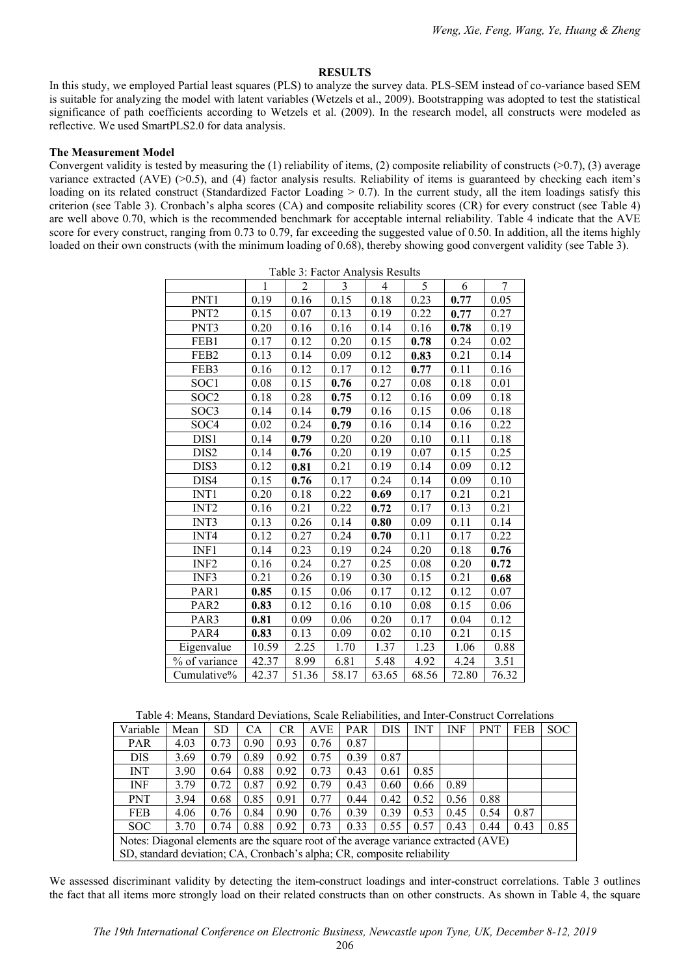# **RESULTS**

In this study, we employed Partial least squares (PLS) to analyze the survey data. PLS-SEM instead of co-variance based SEM is suitable for analyzing the model with latent variables (Wetzels et al., 2009). Bootstrapping was adopted to test the statistical significance of path coefficients according to Wetzels et al. (2009). In the research model, all constructs were modeled as reflective. We used SmartPLS2.0 for data analysis.

#### **The Measurement Model**

Convergent validity is tested by measuring the  $(1)$  reliability of items,  $(2)$  composite reliability of constructs  $(0.7)$ ,  $(3)$  average variance extracted (AVE) (>0.5), and (4) factor analysis results. Reliability of items is guaranteed by checking each item's loading on its related construct (Standardized Factor Loading  $> 0.7$ ). In the current study, all the item loadings satisfy this criterion (see Table 3). Cronbach's alpha scores (CA) and composite reliability scores (CR) for every construct (see Table 4) are well above 0.70, which is the recommended benchmark for acceptable internal reliability. Table 4 indicate that the AVE score for every construct, ranging from 0.73 to 0.79, far exceeding the suggested value of 0.50. In addition, all the items highly loaded on their own constructs (with the minimum loading of 0.68), thereby showing good convergent validity (see Table 3).

|                  | Table 5. Pacific Allarysis Results |       |       |                |       |       |       |  |  |  |
|------------------|------------------------------------|-------|-------|----------------|-------|-------|-------|--|--|--|
|                  | $\mathbf{1}$                       | 2     | 3     | $\overline{4}$ | 5     | 6     | 7     |  |  |  |
| PNT1             | 0.19                               | 0.16  | 0.15  | 0.18           | 0.23  | 0.77  | 0.05  |  |  |  |
| PNT <sub>2</sub> | 0.15                               | 0.07  | 0.13  | 0.19           | 0.22  | 0.77  | 0.27  |  |  |  |
| PNT3             | 0.20                               | 0.16  | 0.16  | 0.14           | 0.16  | 0.78  | 0.19  |  |  |  |
| FEB1             | 0.17                               | 0.12  | 0.20  | 0.15           | 0.78  | 0.24  | 0.02  |  |  |  |
| FEB <sub>2</sub> | 0.13                               | 0.14  | 0.09  | 0.12           | 0.83  | 0.21  | 0.14  |  |  |  |
| FEB3             | 0.16                               | 0.12  | 0.17  | 0.12           | 0.77  | 0.11  | 0.16  |  |  |  |
| SOC <sub>1</sub> | 0.08                               | 0.15  | 0.76  | 0.27           | 0.08  | 0.18  | 0.01  |  |  |  |
| SOC <sub>2</sub> | 0.18                               | 0.28  | 0.75  | 0.12           | 0.16  | 0.09  | 0.18  |  |  |  |
| SOC3             | 0.14                               | 0.14  | 0.79  | 0.16           | 0.15  | 0.06  | 0.18  |  |  |  |
| SOC <sub>4</sub> | 0.02                               | 0.24  | 0.79  | 0.16           | 0.14  | 0.16  | 0.22  |  |  |  |
| DIS1             | 0.14                               | 0.79  | 0.20  | 0.20           | 0.10  | 0.11  | 0.18  |  |  |  |
| DIS <sub>2</sub> | 0.14                               | 0.76  | 0.20  | 0.19           | 0.07  | 0.15  | 0.25  |  |  |  |
| DIS3             | 0.12                               | 0.81  | 0.21  | 0.19           | 0.14  | 0.09  | 0.12  |  |  |  |
| DIS4             | 0.15                               | 0.76  | 0.17  | 0.24           | 0.14  | 0.09  | 0.10  |  |  |  |
| INT <sub>1</sub> | 0.20                               | 0.18  | 0.22  | 0.69           | 0.17  | 0.21  | 0.21  |  |  |  |
| INT <sub>2</sub> | 0.16                               | 0.21  | 0.22  | 0.72           | 0.17  | 0.13  | 0.21  |  |  |  |
| INT3             | 0.13                               | 0.26  | 0.14  | 0.80           | 0.09  | 0.11  | 0.14  |  |  |  |
| INT4             | 0.12                               | 0.27  | 0.24  | 0.70           | 0.11  | 0.17  | 0.22  |  |  |  |
| INF1             | 0.14                               | 0.23  | 0.19  | 0.24           | 0.20  | 0.18  | 0.76  |  |  |  |
| INF <sub>2</sub> | 0.16                               | 0.24  | 0.27  | 0.25           | 0.08  | 0.20  | 0.72  |  |  |  |
| INF3             | 0.21                               | 0.26  | 0.19  | 0.30           | 0.15  | 0.21  | 0.68  |  |  |  |
| PAR1             | 0.85                               | 0.15  | 0.06  | 0.17           | 0.12  | 0.12  | 0.07  |  |  |  |
| PAR <sub>2</sub> | 0.83                               | 0.12  | 0.16  | 0.10           | 0.08  | 0.15  | 0.06  |  |  |  |
| PAR3             | 0.81                               | 0.09  | 0.06  | 0.20           | 0.17  | 0.04  | 0.12  |  |  |  |
| PAR4             | 0.83                               | 0.13  | 0.09  | 0.02           | 0.10  | 0.21  | 0.15  |  |  |  |
| Eigenvalue       | 10.59                              | 2.25  | 1.70  | 1.37           | 1.23  | 1.06  | 0.88  |  |  |  |
| % of variance    | 42.37                              | 8.99  | 6.81  | 5.48           | 4.92  | 4.24  | 3.51  |  |  |  |
| Cumulative%      | 42.37                              | 51.36 | 58.17 | 63.65          | 68.56 | 72.80 | 76.32 |  |  |  |

Table 3: Factor Analysis Results

Table 4: Means, Standard Deviations, Scale Reliabilities, and Inter-Construct Correlations

| Variable                                                                             | Mean | <b>SD</b> | CA   | CR   | <b>AVE</b> | <b>PAR</b> | <b>DIS</b> | <b>INT</b> | INF  | <b>PNT</b> | <b>FEB</b> | <b>SOC</b> |
|--------------------------------------------------------------------------------------|------|-----------|------|------|------------|------------|------------|------------|------|------------|------------|------------|
| <b>PAR</b>                                                                           | 4.03 | 0.73      | 0.90 | 0.93 | 0.76       | 0.87       |            |            |      |            |            |            |
| <b>DIS</b>                                                                           | 3.69 | 0.79      | 0.89 | 0.92 | 0.75       | 0.39       | 0.87       |            |      |            |            |            |
| <b>INT</b>                                                                           | 3.90 | 0.64      | 0.88 | 0.92 | 0.73       | 0.43       | 0.61       | 0.85       |      |            |            |            |
| <b>INF</b>                                                                           | 3.79 | 0.72      | 0.87 | 0.92 | 0.79       | 0.43       | 0.60       | 0.66       | 0.89 |            |            |            |
| <b>PNT</b>                                                                           | 3.94 | 0.68      | 0.85 | 0.91 | 0.77       | 0.44       | 0.42       | 0.52       | 0.56 | 0.88       |            |            |
| <b>FEB</b>                                                                           | 4.06 | 0.76      | 0.84 | 0.90 | 0.76       | 0.39       | 0.39       | 0.53       | 0.45 | 0.54       | 0.87       |            |
| <b>SOC</b>                                                                           | 3.70 | 0.74      | 0.88 | 0.92 | 0.73       | 0.33       | 0.55       | 0.57       | 0.43 | 0.44       | 0.43       | 0.85       |
| Notes: Diagonal elements are the square root of the average variance extracted (AVE) |      |           |      |      |            |            |            |            |      |            |            |            |
| SD, standard deviation; CA, Cronbach's alpha; CR, composite reliability              |      |           |      |      |            |            |            |            |      |            |            |            |

We assessed discriminant validity by detecting the item-construct loadings and inter-construct correlations. Table 3 outlines the fact that all items more strongly load on their related constructs than on other constructs. As shown in Table 4, the square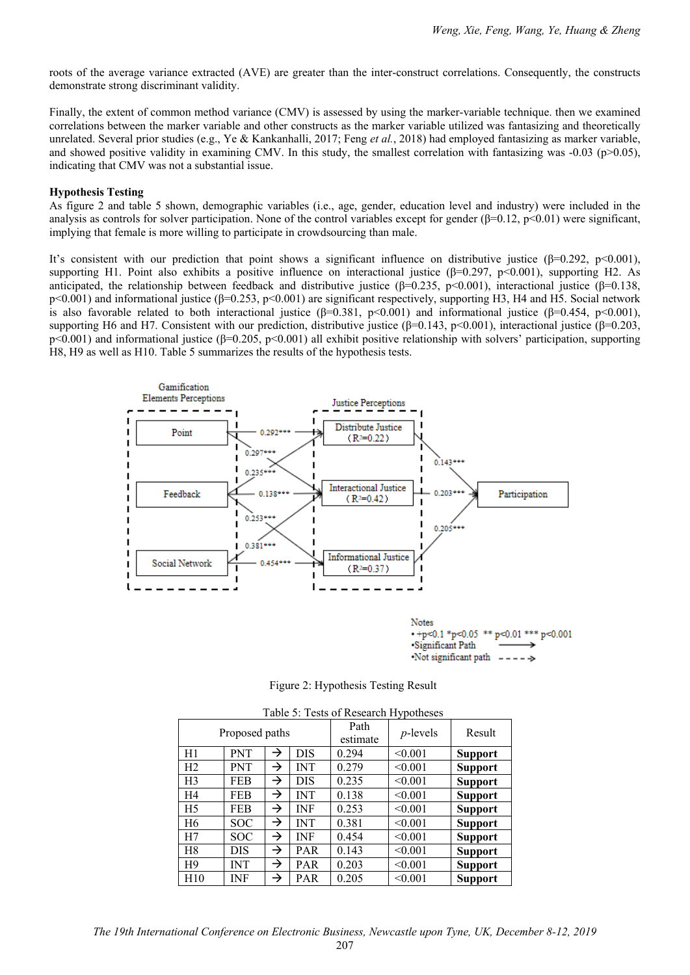roots of the average variance extracted (AVE) are greater than the inter-construct correlations. Consequently, the constructs demonstrate strong discriminant validity.

Finally, the extent of common method variance (CMV) is assessed by using the marker-variable technique. then we examined correlations between the marker variable and other constructs as the marker variable utilized was fantasizing and theoretically unrelated. Several prior studies (e.g., Ye & Kankanhalli, 2017; Feng *et al.*, 2018) had employed fantasizing as marker variable, and showed positive validity in examining CMV. In this study, the smallest correlation with fantasizing was  $-0.03$  (p $>0.05$ ), indicating that CMV was not a substantial issue.

## **Hypothesis Testing**

As figure 2 and table 5 shown, demographic variables (i.e., age, gender, education level and industry) were included in the analysis as controls for solver participation. None of the control variables except for gender  $(\beta=0.12, \text{p} < 0.01)$  were significant, implying that female is more willing to participate in crowdsourcing than male.

It's consistent with our prediction that point shows a significant influence on distributive justice ( $\beta$ =0.292, p<0.001), supporting H1. Point also exhibits a positive influence on interactional justice ( $\beta$ =0.297, p<0.001), supporting H2. As anticipated, the relationship between feedback and distributive justice (β=0.235, p<0.001), interactional justice (β=0.138,  $p<0.001$ ) and informational justice (β=0.253,  $p<0.001$ ) are significant respectively, supporting H3, H4 and H5. Social network is also favorable related to both interactional justice  $(\beta=0.381, p<0.001)$  and informational justice  $(\beta=0.454, p<0.001)$ , supporting H6 and H7. Consistent with our prediction, distributive justice ( $\beta$ =0.143, p<0.001), interactional justice ( $\beta$ =0.203, p<0.001) and informational justice (β=0.205, p<0.001) all exhibit positive relationship with solvers' participation, supporting H8, H9 as well as H10. Table 5 summarizes the results of the hypothesis tests.



•Significant Path Not significant path -ь.

Figure 2: Hypothesis Testing Result

| Table 5: Tests of Research Hypotheses |                |               |            |                  |             |                |  |  |  |
|---------------------------------------|----------------|---------------|------------|------------------|-------------|----------------|--|--|--|
|                                       | Proposed paths |               |            | Path<br>estimate | $p$ -levels | Result         |  |  |  |
| H1                                    | <b>PNT</b>     | →             | <b>DIS</b> | 0.294            | < 0.001     | <b>Support</b> |  |  |  |
| H <sub>2</sub>                        | <b>PNT</b>     | →             | <b>INT</b> | 0.279            | < 0.001     | <b>Support</b> |  |  |  |
| H <sub>3</sub>                        | FEB            | $\rightarrow$ | <b>DIS</b> | 0.235            | < 0.001     | <b>Support</b> |  |  |  |
| H4                                    | FEB            | $\rightarrow$ | INT        | 0.138            | < 0.001     | <b>Support</b> |  |  |  |
| H <sub>5</sub>                        | FEB            | $\rightarrow$ | <b>INF</b> | 0.253            | < 0.001     | <b>Support</b> |  |  |  |
| H <sub>6</sub>                        | <b>SOC</b>     | →             | <b>INT</b> | 0.381            | < 0.001     | <b>Support</b> |  |  |  |
| H7                                    | <b>SOC</b>     | →             | INF        | 0.454            | < 0.001     | <b>Support</b> |  |  |  |
| H8                                    | DIS            | $\rightarrow$ | <b>PAR</b> | 0.143            | < 0.001     | <b>Support</b> |  |  |  |
| H <sub>9</sub>                        | <b>INT</b>     | →             | <b>PAR</b> | 0.203            | < 0.001     | <b>Support</b> |  |  |  |
| H10                                   | INF            | →             | <b>PAR</b> | 0.205            | < 0.001     | <b>Support</b> |  |  |  |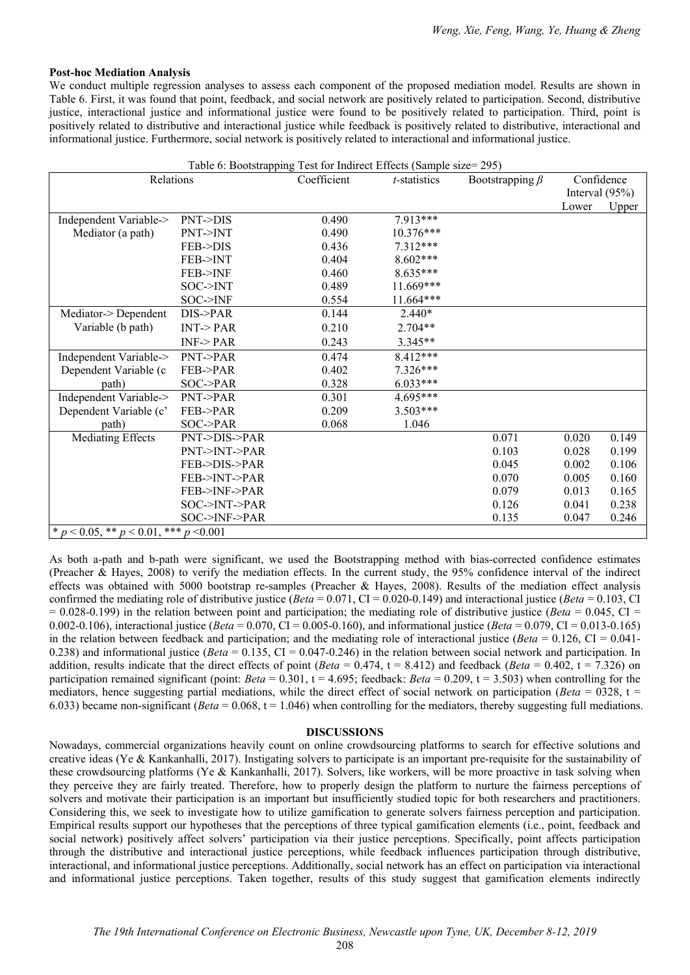#### **Post-hoc Mediation Analysis**

We conduct multiple regression analyses to assess each component of the proposed mediation model. Results are shown in Table 6. First, it was found that point, feedback, and social network are positively related to participation. Second, distributive justice, interactional justice and informational justice were found to be positively related to participation. Third, point is positively related to distributive and interactional justice while feedback is positively related to distributive, interactional and informational justice. Furthermore, social network is positively related to interactional and informational justice.

| Table 6: Bootstrapping Test for Indirect Effects (Sample size= 295) |                    |                      |                       |       |            |                   |  |  |  |
|---------------------------------------------------------------------|--------------------|----------------------|-----------------------|-------|------------|-------------------|--|--|--|
| Relations                                                           | Coefficient        | <i>t</i> -statistics | Bootstrapping $\beta$ |       | Confidence |                   |  |  |  |
|                                                                     |                    |                      |                       |       |            | Interval $(95\%)$ |  |  |  |
|                                                                     |                    |                      |                       |       | Lower      | Upper             |  |  |  |
| Independent Variable->                                              | <b>PNT-&gt;DIS</b> | 0.490                | 7.913***              |       |            |                   |  |  |  |
| Mediator (a path)                                                   | PNT->INT           | 0.490                | $10.376***$           |       |            |                   |  |  |  |
|                                                                     | <b>FEB-&gt;DIS</b> | 0.436                | 7.312***              |       |            |                   |  |  |  |
|                                                                     | FEB->INT           | 0.404                | $8.602***$            |       |            |                   |  |  |  |
|                                                                     | <b>FEB-&gt;INF</b> | 0.460                | $8.635***$            |       |            |                   |  |  |  |
|                                                                     | SOC > INT          | 0.489                | 11.669***             |       |            |                   |  |  |  |
|                                                                     | SOC > INF          | 0.554                | 11.664***             |       |            |                   |  |  |  |
| Mediator->Dependent                                                 | $DIS$ ->PAR        | 0.144                | $2.440*$              |       |            |                   |  |  |  |
| Variable (b path)                                                   | INT < PAR          | 0.210                | $2.704**$             |       |            |                   |  |  |  |
|                                                                     | $INF$ -> $PAR$     | 0.243                | 3.345**               |       |            |                   |  |  |  |
| Independent Variable->                                              | PNT > PAR          | 0.474                | 8.412***              |       |            |                   |  |  |  |
| Dependent Variable (c                                               | FEB->PAR           | 0.402                | $7.326***$            |       |            |                   |  |  |  |
| path)                                                               | SOC->PAR           | 0.328                | $6.033***$            |       |            |                   |  |  |  |
| Independent Variable->                                              | PNT->PAR           | 0.301                | $4.695***$            |       |            |                   |  |  |  |
| Dependent Variable (c'                                              | FEB->PAR           | 0.209                | $3.503***$            |       |            |                   |  |  |  |
| path)                                                               | SOC->PAR           | 0.068                | 1.046                 |       |            |                   |  |  |  |
| <b>Mediating Effects</b>                                            | PNT->DIS->PAR      |                      |                       | 0.071 | 0.020      | 0.149             |  |  |  |
|                                                                     | PNT->INT->PAR      |                      |                       | 0.103 | 0.028      | 0.199             |  |  |  |
|                                                                     | FEB->DIS->PAR      |                      |                       | 0.045 | 0.002      | 0.106             |  |  |  |
|                                                                     | FEB->INT->PAR      |                      |                       | 0.070 | 0.005      | 0.160             |  |  |  |
|                                                                     | FEB->INF->PAR      |                      |                       | 0.079 | 0.013      | 0.165             |  |  |  |
|                                                                     | SOC->INT->PAR      |                      |                       | 0.126 | 0.041      | 0.238             |  |  |  |
|                                                                     | SOC->INF->PAR      |                      |                       | 0.135 | 0.047      | 0.246             |  |  |  |
| * $p < 0.05$ , ** $p < 0.01$ , *** $p < 0.001$                      |                    |                      |                       |       |            |                   |  |  |  |

As both a-path and b-path were significant, we used the Bootstrapping method with bias-corrected confidence estimates (Preacher & Hayes, 2008) to verify the mediation effects. In the current study, the 95% confidence interval of the indirect effects was obtained with 5000 bootstrap re-samples (Preacher & Hayes, 2008). Results of the mediation effect analysis confirmed the mediating role of distributive justice (*Beta* = 0.071, CI = 0.020-0.149) and interactional justice (*Beta* = 0.103, CI  $= 0.028-0.199$ ) in the relation between point and participation; the mediating role of distributive justice (*Beta*  $= 0.045$ , CI  $=$ 0.002-0.106), interactional justice (*Beta* = 0.070, CI = 0.005-0.160), and informational justice (*Beta* = 0.079, CI = 0.013-0.165) in the relation between feedback and participation; and the mediating role of interactional justice (*Beta* = 0.126, CI = 0.041- 0.238) and informational justice (*Beta* = 0.135, CI = 0.047-0.246) in the relation between social network and participation. In addition, results indicate that the direct effects of point  $(Beta = 0.474, t = 8.412)$  and feedback  $(Beta = 0.402, t = 7.326)$  on participation remained significant (point: *Beta* =  $0.301$ ,  $t = 4.695$ ; feedback: *Beta* =  $0.209$ ,  $t = 3.503$ ) when controlling for the mediators, hence suggesting partial mediations, while the direct effect of social network on participation (*Beta* = 0328, t = 6.033) became non-significant (*Beta* = 0.068, t = 1.046) when controlling for the mediators, thereby suggesting full mediations.

#### **DISCUSSIONS**

Nowadays, commercial organizations heavily count on online crowdsourcing platforms to search for effective solutions and creative ideas (Ye & Kankanhalli, 2017). Instigating solvers to participate is an important pre-requisite for the sustainability of these crowdsourcing platforms (Ye & Kankanhalli, 2017). Solvers, like workers, will be more proactive in task solving when they perceive they are fairly treated. Therefore, how to properly design the platform to nurture the fairness perceptions of solvers and motivate their participation is an important but insufficiently studied topic for both researchers and practitioners. Considering this, we seek to investigate how to utilize gamification to generate solvers fairness perception and participation. Empirical results support our hypotheses that the perceptions of three typical gamification elements (i.e., point, feedback and social network) positively affect solvers' participation via their justice perceptions. Specifically, point affects participation through the distributive and interactional justice perceptions, while feedback influences participation through distributive, interactional, and informational justice perceptions. Additionally, social network has an effect on participation via interactional and informational justice perceptions. Taken together, results of this study suggest that gamification elements indirectly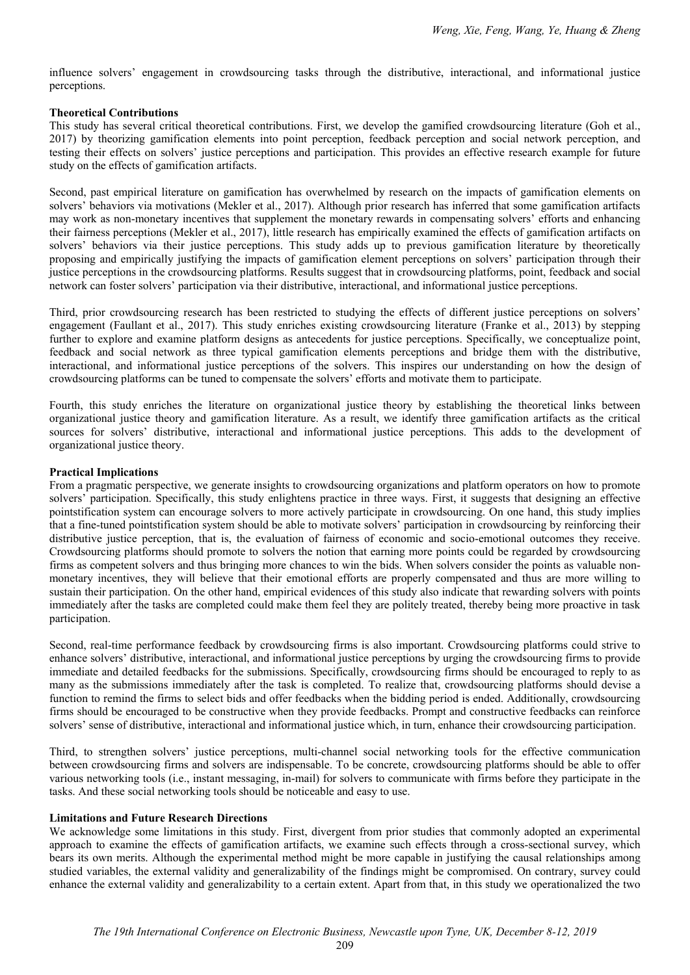influence solvers' engagement in crowdsourcing tasks through the distributive, interactional, and informational justice perceptions.

## **Theoretical Contributions**

This study has several critical theoretical contributions. First, we develop the gamified crowdsourcing literature (Goh et al., 2017) by theorizing gamification elements into point perception, feedback perception and social network perception, and testing their effects on solvers' justice perceptions and participation. This provides an effective research example for future study on the effects of gamification artifacts.

Second, past empirical literature on gamification has overwhelmed by research on the impacts of gamification elements on solvers' behaviors via motivations (Mekler et al., 2017). Although prior research has inferred that some gamification artifacts may work as non-monetary incentives that supplement the monetary rewards in compensating solvers' efforts and enhancing their fairness perceptions (Mekler et al., 2017), little research has empirically examined the effects of gamification artifacts on solvers' behaviors via their justice perceptions. This study adds up to previous gamification literature by theoretically proposing and empirically justifying the impacts of gamification element perceptions on solvers' participation through their justice perceptions in the crowdsourcing platforms. Results suggest that in crowdsourcing platforms, point, feedback and social network can foster solvers' participation via their distributive, interactional, and informational justice perceptions.

Third, prior crowdsourcing research has been restricted to studying the effects of different justice perceptions on solvers' engagement (Faullant et al., 2017). This study enriches existing crowdsourcing literature (Franke et al., 2013) by stepping further to explore and examine platform designs as antecedents for justice perceptions. Specifically, we conceptualize point, feedback and social network as three typical gamification elements perceptions and bridge them with the distributive, interactional, and informational justice perceptions of the solvers. This inspires our understanding on how the design of crowdsourcing platforms can be tuned to compensate the solvers' efforts and motivate them to participate.

Fourth, this study enriches the literature on organizational justice theory by establishing the theoretical links between organizational justice theory and gamification literature. As a result, we identify three gamification artifacts as the critical sources for solvers' distributive, interactional and informational justice perceptions. This adds to the development of organizational justice theory.

## **Practical Implications**

From a pragmatic perspective, we generate insights to crowdsourcing organizations and platform operators on how to promote solvers' participation. Specifically, this study enlightens practice in three ways. First, it suggests that designing an effective pointstification system can encourage solvers to more actively participate in crowdsourcing. On one hand, this study implies that a fine-tuned pointstification system should be able to motivate solvers' participation in crowdsourcing by reinforcing their distributive justice perception, that is, the evaluation of fairness of economic and socio-emotional outcomes they receive. Crowdsourcing platforms should promote to solvers the notion that earning more points could be regarded by crowdsourcing firms as competent solvers and thus bringing more chances to win the bids. When solvers consider the points as valuable nonmonetary incentives, they will believe that their emotional efforts are properly compensated and thus are more willing to sustain their participation. On the other hand, empirical evidences of this study also indicate that rewarding solvers with points immediately after the tasks are completed could make them feel they are politely treated, thereby being more proactive in task participation.

Second, real-time performance feedback by crowdsourcing firms is also important. Crowdsourcing platforms could strive to enhance solvers' distributive, interactional, and informational justice perceptions by urging the crowdsourcing firms to provide immediate and detailed feedbacks for the submissions. Specifically, crowdsourcing firms should be encouraged to reply to as many as the submissions immediately after the task is completed. To realize that, crowdsourcing platforms should devise a function to remind the firms to select bids and offer feedbacks when the bidding period is ended. Additionally, crowdsourcing firms should be encouraged to be constructive when they provide feedbacks. Prompt and constructive feedbacks can reinforce solvers' sense of distributive, interactional and informational justice which, in turn, enhance their crowdsourcing participation.

Third, to strengthen solvers' justice perceptions, multi-channel social networking tools for the effective communication between crowdsourcing firms and solvers are indispensable. To be concrete, crowdsourcing platforms should be able to offer various networking tools (i.e., instant messaging, in-mail) for solvers to communicate with firms before they participate in the tasks. And these social networking tools should be noticeable and easy to use.

#### **Limitations and Future Research Directions**

We acknowledge some limitations in this study. First, divergent from prior studies that commonly adopted an experimental approach to examine the effects of gamification artifacts, we examine such effects through a cross-sectional survey, which bears its own merits. Although the experimental method might be more capable in justifying the causal relationships among studied variables, the external validity and generalizability of the findings might be compromised. On contrary, survey could enhance the external validity and generalizability to a certain extent. Apart from that, in this study we operationalized the two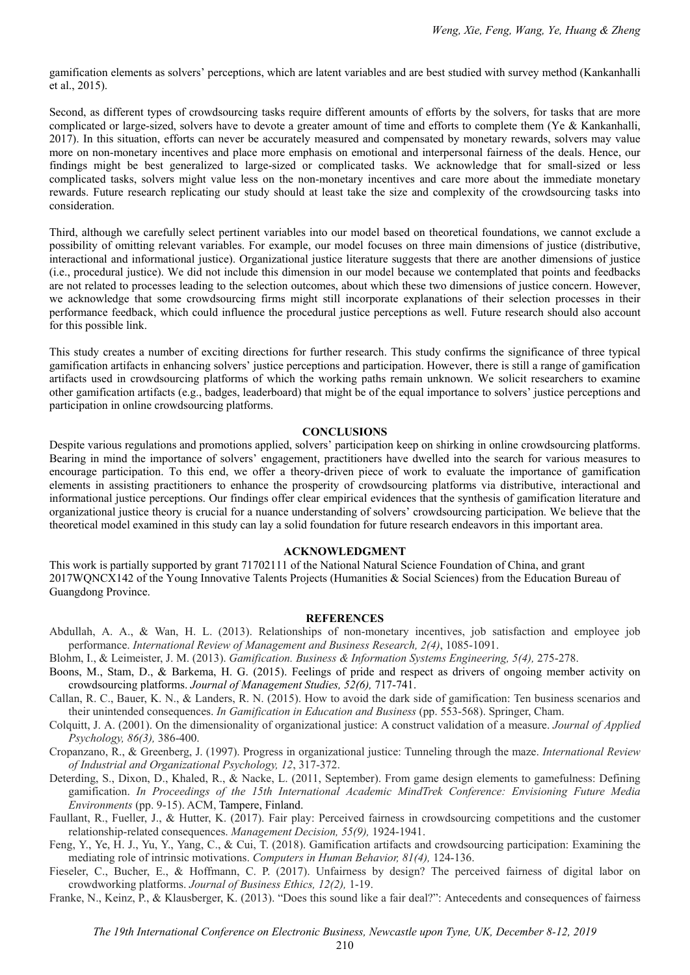gamification elements as solvers' perceptions, which are latent variables and are best studied with survey method (Kankanhalli et al., 2015).

Second, as different types of crowdsourcing tasks require different amounts of efforts by the solvers, for tasks that are more complicated or large-sized, solvers have to devote a greater amount of time and efforts to complete them (Ye & Kankanhalli, 2017). In this situation, efforts can never be accurately measured and compensated by monetary rewards, solvers may value more on non-monetary incentives and place more emphasis on emotional and interpersonal fairness of the deals. Hence, our findings might be best generalized to large-sized or complicated tasks. We acknowledge that for small-sized or less complicated tasks, solvers might value less on the non-monetary incentives and care more about the immediate monetary rewards. Future research replicating our study should at least take the size and complexity of the crowdsourcing tasks into consideration.

Third, although we carefully select pertinent variables into our model based on theoretical foundations, we cannot exclude a possibility of omitting relevant variables. For example, our model focuses on three main dimensions of justice (distributive, interactional and informational justice). Organizational justice literature suggests that there are another dimensions of justice (i.e., procedural justice). We did not include this dimension in our model because we contemplated that points and feedbacks are not related to processes leading to the selection outcomes, about which these two dimensions of justice concern. However, we acknowledge that some crowdsourcing firms might still incorporate explanations of their selection processes in their performance feedback, which could influence the procedural justice perceptions as well. Future research should also account for this possible link.

This study creates a number of exciting directions for further research. This study confirms the significance of three typical gamification artifacts in enhancing solvers' justice perceptions and participation. However, there is still a range of gamification artifacts used in crowdsourcing platforms of which the working paths remain unknown. We solicit researchers to examine other gamification artifacts (e.g., badges, leaderboard) that might be of the equal importance to solvers' justice perceptions and participation in online crowdsourcing platforms.

#### **CONCLUSIONS**

Despite various regulations and promotions applied, solvers' participation keep on shirking in online crowdsourcing platforms. Bearing in mind the importance of solvers' engagement, practitioners have dwelled into the search for various measures to encourage participation. To this end, we offer a theory-driven piece of work to evaluate the importance of gamification elements in assisting practitioners to enhance the prosperity of crowdsourcing platforms via distributive, interactional and informational justice perceptions. Our findings offer clear empirical evidences that the synthesis of gamification literature and organizational justice theory is crucial for a nuance understanding of solvers' crowdsourcing participation. We believe that the theoretical model examined in this study can lay a solid foundation for future research endeavors in this important area.

#### **ACKNOWLEDGMENT**

This work is partially supported by grant 71702111 of the National Natural Science Foundation of China, and grant 2017WQNCX142 of the Young Innovative Talents Projects (Humanities & Social Sciences) from the Education Bureau of Guangdong Province.

#### **REFERENCES**

Abdullah, A. A., & Wan, H. L. (2013). Relationships of non-monetary incentives, job satisfaction and employee job performance. *International Review of Management and Business Research, 2(4)*, 1085-1091.

Blohm, I., & Leimeister, J. M. (2013). *Gamification. Business & Information Systems Engineering, 5(4),* 275-278.

- Boons, M., Stam, D., & Barkema, H. G. (2015). Feelings of pride and respect as drivers of ongoing member activity on crowdsourcing platforms. *Journal of Management Studies, 52(6),* 717-741.
- Callan, R. C., Bauer, K. N., & Landers, R. N. (2015). How to avoid the dark side of gamification: Ten business scenarios and their unintended consequences. *In Gamification in Education and Business* (pp. 553-568). Springer, Cham.

Colquitt, J. A. (2001). On the dimensionality of organizational justice: A construct validation of a measure. *Journal of Applied Psychology, 86(3),* 386-400.

- Cropanzano, R., & Greenberg, J. (1997). Progress in organizational justice: Tunneling through the maze. *International Review of Industrial and Organizational Psychology, 12*, 317-372.
- Deterding, S., Dixon, D., Khaled, R., & Nacke, L. (2011, September). From game design elements to gamefulness: Defining gamification. *In Proceedings of the 15th International Academic MindTrek Conference: Envisioning Future Media Environments* (pp. 9-15). ACM, Tampere, Finland.
- Faullant, R., Fueller, J., & Hutter, K. (2017). Fair play: Perceived fairness in crowdsourcing competitions and the customer relationship-related consequences. *Management Decision, 55(9),* 1924-1941.
- Feng, Y., Ye, H. J., Yu, Y., Yang, C., & Cui, T. (2018). Gamification artifacts and crowdsourcing participation: Examining the mediating role of intrinsic motivations. *Computers in Human Behavior, 81(4),* 124-136.
- Fieseler, C., Bucher, E., & Hoffmann, C. P. (2017). Unfairness by design? The perceived fairness of digital labor on crowdworking platforms. *Journal of Business Ethics, 12(2),* 1-19.
- Franke, N., Keinz, P., & Klausberger, K. (2013). "Does this sound like a fair deal?": Antecedents and consequences of fairness